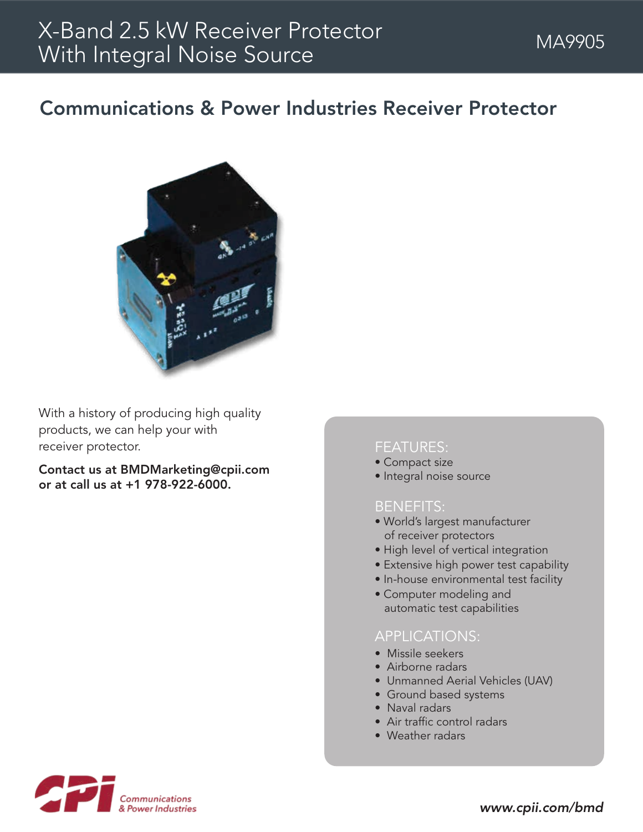# Communications & Power Industries Receiver Protector



With a history of producing high quality products, we can help your with receiver protector.

Contact us at BMDMarketing@cpii.com or at call us at +1 978-922-6000.

### FEATURES:

- Compact size
- Integral noise source

#### BENEFITS:

- World's largest manufacturer of receiver protectors
- High level of vertical integration
- Extensive high power test capability
- In-house environmental test facility
- Computer modeling and automatic test capabilities

### APPLICATIONS:

- Missile seekers
- Airborne radars
- Unmanned Aerial Vehicles (UAV)
- Ground based systems
- Naval radars
- Air traffic control radars
- Weather radars